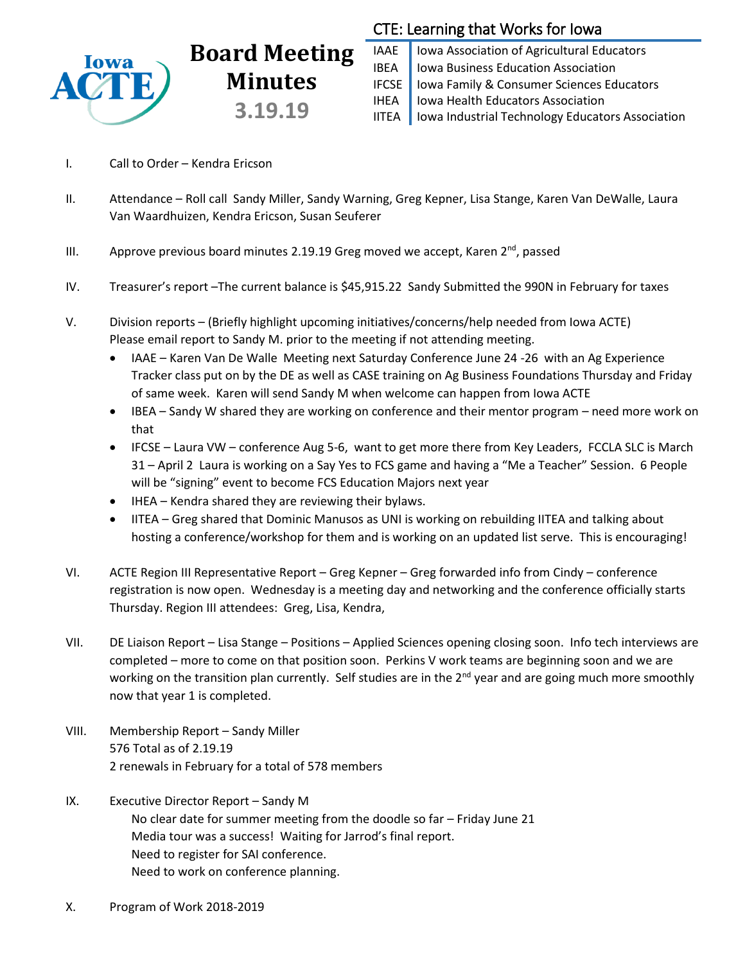

# **Board Meeting Minutes 3.19.19**

## CTE: Learning that Works for Iowa

IAAE | Iowa Association of Agricultural Educators IBEA | Iowa Business Education Association IFCSE Iowa Family & Consumer Sciences Educators IHEA | Iowa Health Educators Association IITEA | Iowa Industrial Technology Educators Association

- I. Call to Order Kendra Ericson
- II. Attendance Roll call Sandy Miller, Sandy Warning, Greg Kepner, Lisa Stange, Karen Van DeWalle, Laura Van Waardhuizen, Kendra Ericson, Susan Seuferer
- III. Approve previous board minutes 2.19.19 Greg moved we accept, Karen  $2^{nd}$ , passed
- IV. Treasurer's report –The current balance is \$45,915.22 Sandy Submitted the 990N in February for taxes
- V. Division reports (Briefly highlight upcoming initiatives/concerns/help needed from Iowa ACTE) Please email report to Sandy M. prior to the meeting if not attending meeting.
	- IAAE Karen Van De Walle Meeting next Saturday Conference June 24 -26 with an Ag Experience Tracker class put on by the DE as well as CASE training on Ag Business Foundations Thursday and Friday of same week. Karen will send Sandy M when welcome can happen from Iowa ACTE
	- IBEA Sandy W shared they are working on conference and their mentor program need more work on that
	- IFCSE Laura VW conference Aug 5-6, want to get more there from Key Leaders, FCCLA SLC is March 31 – April 2 Laura is working on a Say Yes to FCS game and having a "Me a Teacher" Session. 6 People will be "signing" event to become FCS Education Majors next year
	- IHEA Kendra shared they are reviewing their bylaws.
	- IITEA Greg shared that Dominic Manusos as UNI is working on rebuilding IITEA and talking about hosting a conference/workshop for them and is working on an updated list serve. This is encouraging!
- VI. ACTE Region III Representative Report Greg Kepner Greg forwarded info from Cindy conference registration is now open. Wednesday is a meeting day and networking and the conference officially starts Thursday. Region III attendees: Greg, Lisa, Kendra,
- VII. DE Liaison Report Lisa Stange Positions Applied Sciences opening closing soon. Info tech interviews are completed – more to come on that position soon. Perkins V work teams are beginning soon and we are working on the transition plan currently. Self studies are in the 2<sup>nd</sup> year and are going much more smoothly now that year 1 is completed.
- VIII. Membership Report Sandy Miller 576 Total as of 2.19.19 2 renewals in February for a total of 578 members
- IX. Executive Director Report Sandy M No clear date for summer meeting from the doodle so far – Friday June 21 Media tour was a success! Waiting for Jarrod's final report. Need to register for SAI conference. Need to work on conference planning.
- X. Program of Work 2018-2019